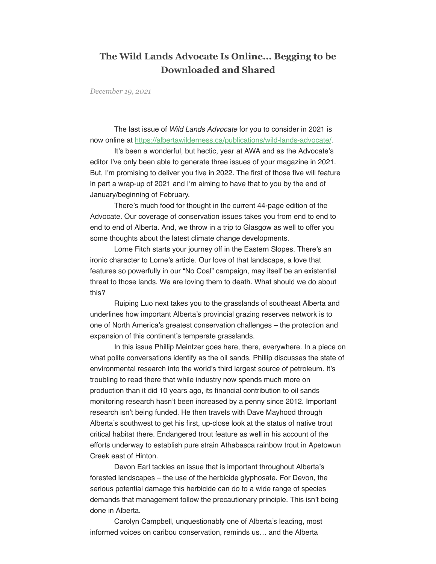## **The Wild Lands Advocate Is Online... Begging to be Downloaded and Shared**

*December 19, 2021*

 The last issue of Wild Lands Advocate for you to consider in 2021 is now online at [https://albertawilderness.ca/publications/wild-lands-advocate/.](https://albertawilderness.ca/publications/wild-lands-advocate/)

 It's been a wonderful, but hectic, year at AWA and as the Advocate's editor I've only been able to generate three issues of your magazine in 2021. But, I'm promising to deliver you five in 2022. The first of those five will feature in part a wrap-up of 2021 and I'm aiming to have that to you by the end of January/beginning of February.

 There's much food for thought in the current 44-page edition of the Advocate. Our coverage of conservation issues takes you from end to end to end to end of Alberta. And, we throw in a trip to Glasgow as well to offer you some thoughts about the latest climate change developments.

 Lorne Fitch starts your journey off in the Eastern Slopes. There's an ironic character to Lorne's article. Our love of that landscape, a love that features so powerfully in our "No Coal" campaign, may itself be an existential threat to those lands. We are loving them to death. What should we do about this?

 Ruiping Luo next takes you to the grasslands of southeast Alberta and underlines how important Alberta's provincial grazing reserves network is to one of North America's greatest conservation challenges – the protection and expansion of this continent's temperate grasslands.

 In this issue Phillip Meintzer goes here, there, everywhere. In a piece on what polite conversations identify as the oil sands, Phillip discusses the state of environmental research into the world's third largest source of petroleum. It's troubling to read there that while industry now spends much more on production than it did 10 years ago, its financial contribution to oil sands monitoring research hasn't been increased by a penny since 2012. Important research isn't being funded. He then travels with Dave Mayhood through Alberta's southwest to get his first, up-close look at the status of native trout critical habitat there. Endangered trout feature as well in his account of the efforts underway to establish pure strain Athabasca rainbow trout in Apetowun Creek east of Hinton.

 Devon Earl tackles an issue that is important throughout Alberta's forested landscapes – the use of the herbicide glyphosate. For Devon, the serious potential damage this herbicide can do to a wide range of species demands that management follow the precautionary principle. This isn't being done in Alberta.

 Carolyn Campbell, unquestionably one of Alberta's leading, most informed voices on caribou conservation, reminds us… and the Alberta